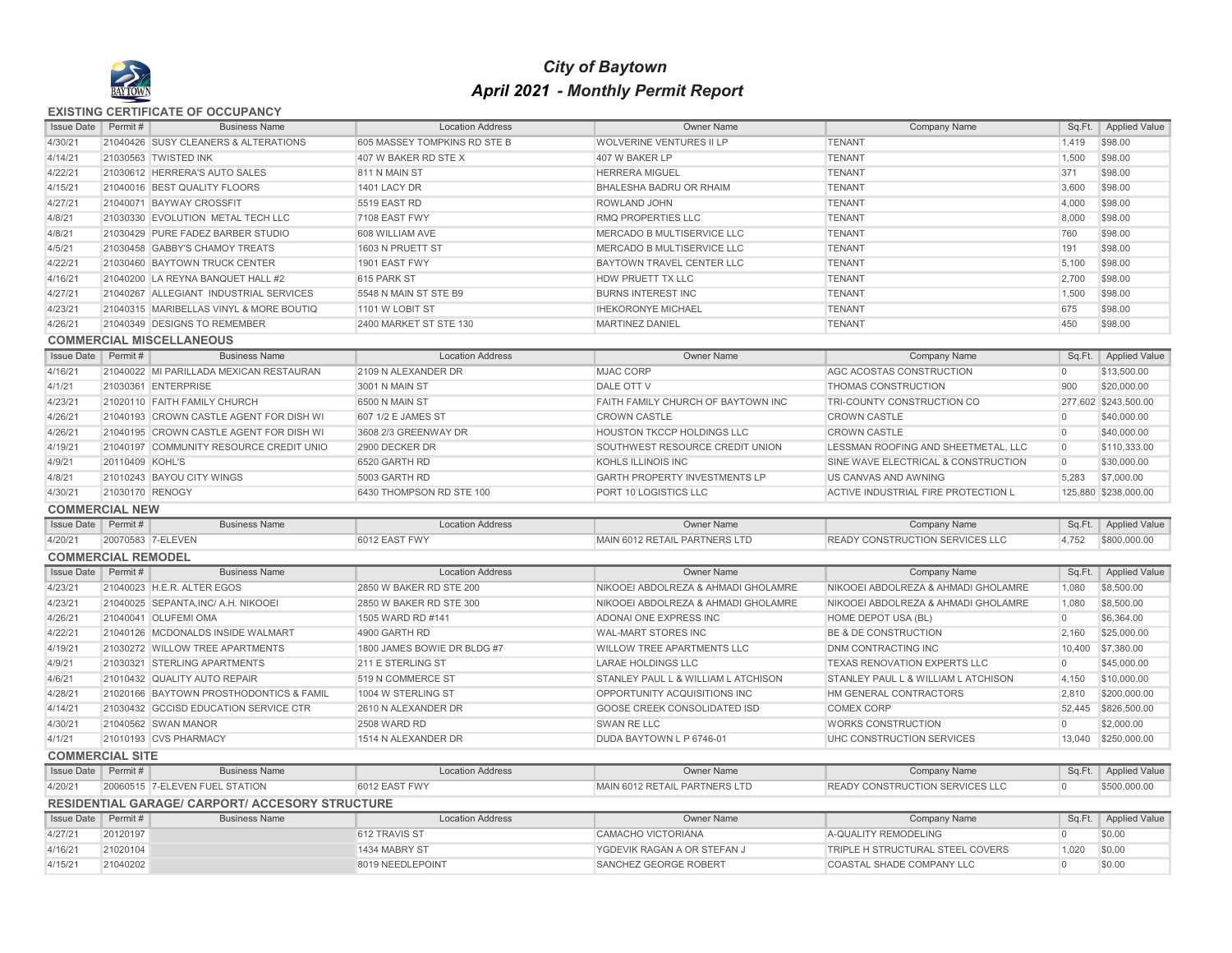

## *City of Baytown April 2021 - Monthly Permit Report*

## **EXISTING CERTIFICATE OF OCCUPANCY**

| <b>Issue Date</b>                              | Permit #             | <b>Business Name</b>                                        | <b>Location Address</b>           | <b>Owner Name</b>                                       | <b>Company Name</b>                                                        | Sq.Ft.                  | <b>Applied Value</b>        |
|------------------------------------------------|----------------------|-------------------------------------------------------------|-----------------------------------|---------------------------------------------------------|----------------------------------------------------------------------------|-------------------------|-----------------------------|
| 4/30/21                                        |                      | 21040426 SUSY CLEANERS & ALTERATIONS                        | 605 MASSEY TOMPKINS RD STE B      | <b>WOLVERINE VENTURES II LP</b>                         | <b>TENANT</b>                                                              | 1,419                   | \$98.00                     |
| 4/14/21                                        |                      | 21030563 TWISTED INK                                        | 407 W BAKER RD STE X              | 407 W BAKER LP                                          | <b>TENANT</b>                                                              | 1,500                   | \$98.00                     |
| 4/22/21                                        |                      | 21030612 HERRERA'S AUTO SALES                               | 811 N MAIN ST                     | <b>HERRERA MIGUEL</b>                                   | <b>TENANT</b>                                                              | 371                     | \$98.00                     |
| 4/15/21                                        |                      | 21040016 BEST QUALITY FLOORS                                | 1401 LACY DR                      | <b>BHALESHA BADRU OR RHAIM</b>                          | <b>TENANT</b>                                                              | 3,600                   | \$98.00                     |
| 4/27/21                                        |                      | 21040071 BAYWAY CROSSFIT                                    | 5519 EAST RD                      | <b>ROWLAND JOHN</b>                                     | <b>TENANT</b>                                                              | 4,000                   | \$98.00                     |
| 4/8/21                                         |                      | 21030330 EVOLUTION METAL TECH LLC                           | 7108 EAST FWY                     | <b>RMQ PROPERTIES LLC</b>                               | <b>TENANT</b>                                                              | 8,000                   | \$98.00                     |
| 4/8/21                                         |                      | 21030429 PURE FADEZ BARBER STUDIO                           | 608 WILLIAM AVE                   | MERCADO B MULTISERVICE LLC                              | <b>TENANT</b>                                                              | 760                     | \$98.00                     |
| 4/5/21                                         |                      | 21030458 GABBY'S CHAMOY TREATS                              | 1603 N PRUETT ST                  | MERCADO B MULTISERVICE LLC                              | <b>TENANT</b>                                                              | 191                     | \$98.00                     |
| 4/22/21                                        |                      | 21030460 BAYTOWN TRUCK CENTER                               | 1901 EAST FWY                     | BAYTOWN TRAVEL CENTER LLC                               | <b>TENANT</b>                                                              | 5,100                   | \$98.00                     |
| 4/16/21                                        |                      | 21040200 LA REYNA BANQUET HALL #2                           | 615 PARK ST                       | HDW PRUETT TX LLC                                       | <b>TENANT</b>                                                              | 2,700                   | \$98.00                     |
| 4/27/21                                        |                      | 21040267 ALLEGIANT INDUSTRIAL SERVICES                      | 5548 N MAIN ST STE B9             | <b>BURNS INTEREST INC</b>                               | <b>TENANT</b>                                                              | 1,500                   | \$98.00                     |
| 4/23/21                                        |                      | 21040315 MARIBELLAS VINYL & MORE BOUTIQ                     | 1101 W LOBIT ST                   | <b>IHEKORONYE MICHAEL</b>                               | <b>TENANT</b>                                                              | 675                     | \$98.00                     |
| 4/26/21                                        |                      | 21040349 DESIGNS TO REMEMBER                                | 2400 MARKET ST STE 130            | <b>MARTINEZ DANIEL</b>                                  | <b>TENANT</b>                                                              | 450                     | \$98.00                     |
|                                                |                      | <b>COMMERCIAL MISCELLANEOUS</b>                             |                                   |                                                         |                                                                            |                         |                             |
| <b>Issue Date</b>                              | Permit#              | <b>Business Name</b>                                        | <b>Location Address</b>           | <b>Owner Name</b>                                       | <b>Company Name</b>                                                        |                         | Sq.Ft.   Applied Value      |
| 4/16/21                                        |                      | 21040022 MI PARILLADA MEXICAN RESTAURAN                     | 2109 N ALEXANDER DR               | <b>MJAC CORP</b>                                        | AGC ACOSTAS CONSTRUCTION                                                   | $\overline{0}$          | \$13,500.00                 |
| 4/1/21                                         |                      | 21030361 ENTERPRISE                                         | 3001 N MAIN ST                    | DALE OTT V                                              | <b>THOMAS CONSTRUCTION</b>                                                 | 900                     | \$20,000.00                 |
| 4/23/21                                        |                      | 21020110 FAITH FAMILY CHURCH                                | 6500 N MAIN ST                    | FAITH FAMILY CHURCH OF BAYTOWN INC                      | TRI-COUNTY CONSTRUCTION CO                                                 |                         | 277,602 \$243,500.00        |
| 4/26/21                                        |                      | 21040193 CROWN CASTLE AGENT FOR DISH WI                     | 607 1/2 E JAMES ST                | <b>CROWN CASTLE</b>                                     | <b>CROWN CASTLE</b>                                                        | $\Omega$                | \$40,000.00                 |
| 4/26/21                                        |                      | 21040195 CROWN CASTLE AGENT FOR DISH WI                     | 3608 2/3 GREENWAY DR              | <b>HOUSTON TKCCP HOLDINGS LLC</b>                       | <b>CROWN CASTLE</b>                                                        | $\overline{0}$          | \$40,000.00                 |
| 4/19/21                                        |                      | 21040197 COMMUNITY RESOURCE CREDIT UNIO                     | 2900 DECKER DR                    | SOUTHWEST RESOURCE CREDIT UNION                         | LESSMAN ROOFING AND SHEETMETAL, LLC                                        | $\overline{0}$          | \$110,333.00                |
| 4/9/21                                         | 20110409 KOHL'S      |                                                             | 6520 GARTH RD                     | KOHLS ILLINOIS INC                                      | SINE WAVE ELECTRICAL & CONSTRUCTION                                        | $\overline{0}$          | \$30,000.00                 |
| 4/8/21                                         |                      | 21010243 BAYOU CITY WINGS                                   | 5003 GARTH RD                     | <b>GARTH PROPERTY INVESTMENTS LP</b>                    | US CANVAS AND AWNING                                                       | 5,283                   | \$7,000.00                  |
| 4/30/21                                        | 21030170 RENOGY      |                                                             | 6430 THOMPSON RD STE 100          | PORT 10 LOGISTICS LLC                                   | ACTIVE INDUSTRIAL FIRE PROTECTION L                                        |                         | 125,880 \$238,000.00        |
|                                                |                      |                                                             |                                   |                                                         |                                                                            |                         |                             |
| <b>COMMERCIAL NEW</b>                          |                      |                                                             |                                   |                                                         |                                                                            |                         |                             |
| <b>Issue Date</b>                              | Permit#              | <b>Business Name</b>                                        | <b>Location Address</b>           | Owner Name                                              | <b>Company Name</b>                                                        |                         | Sq.Ft.   Applied Value      |
| 4/20/21                                        |                      | 20070583 7-ELEVEN                                           | 6012 EAST FWY                     | MAIN 6012 RETAIL PARTNERS LTD                           | <b>READY CONSTRUCTION SERVICES LLC</b>                                     | 4,752                   | \$800,000.00                |
|                                                |                      |                                                             |                                   |                                                         |                                                                            |                         |                             |
| <b>COMMERCIAL REMODEL</b><br><b>Issue Date</b> | Permit#              | <b>Business Name</b>                                        | <b>Location Address</b>           | <b>Owner Name</b>                                       |                                                                            | Sq.Ft.                  |                             |
|                                                |                      |                                                             | 2850 W BAKER RD STE 200           |                                                         | <b>Company Name</b>                                                        |                         | <b>Applied Value</b>        |
| 4/23/21                                        |                      | 21040023 H.E.R. ALTER EGOS                                  | 2850 W BAKER RD STE 300           | NIKOOEI ABDOLREZA & AHMADI GHOLAMRE                     | NIKOOEI ABDOLREZA & AHMADI GHOLAMRE<br>NIKOOEI ABDOLREZA & AHMADI GHOLAMRE | 1,080                   | \$8,500.00                  |
| 4/23/21<br>4/26/21                             |                      | 21040025 SEPANTA, INC/ A.H. NIKOOEI<br>21040041 OLUFEMI OMA | 1505 WARD RD #141                 | NIKOOEI ABDOLREZA & AHMADI GHOLAMRE                     | HOME DEPOT USA (BL)                                                        | 1,080<br>$\overline{0}$ | \$8,500.00<br>\$6,364.00    |
| 4/22/21                                        |                      | 21040126 MCDONALDS INSIDE WALMART                           | 4900 GARTH RD                     | ADONAI ONE EXPRESS INC<br><b>WAL-MART STORES INC</b>    | BE & DE CONSTRUCTION                                                       | 2,160                   | \$25,000.00                 |
| 4/19/21                                        |                      | 21030272 WILLOW TREE APARTMENTS                             | 1800 JAMES BOWIE DR BLDG #7       |                                                         | <b>DNM CONTRACTING INC</b>                                                 |                         | 10,400 \$7,380.00           |
| 4/9/21                                         |                      | 21030321 STERLING APARTMENTS                                | 211 E STERLING ST                 | WILLOW TREE APARTMENTS LLC<br><b>LARAE HOLDINGS LLC</b> | <b>TEXAS RENOVATION EXPERTS LLC</b>                                        | $\overline{0}$          | \$45,000.00                 |
| 4/6/21                                         |                      | 21010432 QUALITY AUTO REPAIR                                | 519 N COMMERCE ST                 | STANLEY PAUL L & WILLIAM L ATCHISON                     | STANLEY PAUL L & WILLIAM L ATCHISON                                        | 4.150                   |                             |
| 4/28/21                                        |                      | 21020166 BAYTOWN PROSTHODONTICS & FAMIL                     | 1004 W STERLING ST                | OPPORTUNITY ACQUISITIONS INC                            | HM GENERAL CONTRACTORS                                                     | 2,810                   | \$10,000.00<br>\$200,000.00 |
| 4/14/21                                        |                      | 21030432 GCCISD EDUCATION SERVICE CTR                       | 2610 N ALEXANDER DR               | GOOSE CREEK CONSOLIDATED ISD                            | <b>COMEX CORP</b>                                                          | 52,445                  |                             |
| 4/30/21                                        |                      | 21040562 SWAN MANOR                                         | <b>2508 WARD RD</b>               | SWAN RE LLC                                             | <b>WORKS CONSTRUCTION</b>                                                  | $\Omega$                | \$826,500.00<br>\$2,000.00  |
|                                                |                      |                                                             |                                   |                                                         |                                                                            |                         |                             |
| 4/1/21                                         |                      | 21010193 CVS PHARMACY                                       | 1514 N ALEXANDER DR               | DUDA BAYTOWN L P 6746-01                                | UHC CONSTRUCTION SERVICES                                                  |                         | 13,040 \$250,000.00         |
| <b>COMMERCIAL SITE</b><br><b>Issue Date</b>    | Permit#              | <b>Business Name</b>                                        | <b>Location Address</b>           | <b>Owner Name</b>                                       |                                                                            |                         |                             |
|                                                |                      |                                                             |                                   |                                                         | Company Name                                                               | Sq.Ft.                  | <b>Applied Value</b>        |
| 4/20/21                                        |                      | 20060515 7-ELEVEN FUEL STATION                              | 6012 EAST FWY                     | MAIN 6012 RETAIL PARTNERS LTD                           | <b>READY CONSTRUCTION SERVICES LLC</b>                                     | $\overline{0}$          | \$500,000.00                |
|                                                |                      | <b>RESIDENTIAL GARAGE/ CARPORT/ ACCESORY STRUCTURE</b>      |                                   |                                                         |                                                                            |                         |                             |
| <b>Issue Date</b>                              | Permit#              | <b>Business Name</b>                                        | <b>Location Address</b>           | <b>Owner Name</b>                                       | Company Name                                                               | Sq.Ft.                  | <b>Applied Value</b>        |
| 4/27/21                                        | 20120197             |                                                             | 612 TRAVIS ST                     | CAMACHO VICTORIANA                                      | A-QUALITY REMODELING                                                       | $\Omega$                | \$0.00                      |
| 4/16/21<br>4/15/21                             | 21020104<br>21040202 |                                                             | 1434 MABRY ST<br>8019 NEEDLEPOINT | YGDEVIK RAGAN A OR STEFAN J<br>SANCHEZ GEORGE ROBERT    | TRIPLE H STRUCTURAL STEEL COVERS<br>COASTAL SHADE COMPANY LLC              | 1.020<br>$\overline{0}$ | \$0.00<br>\$0.00            |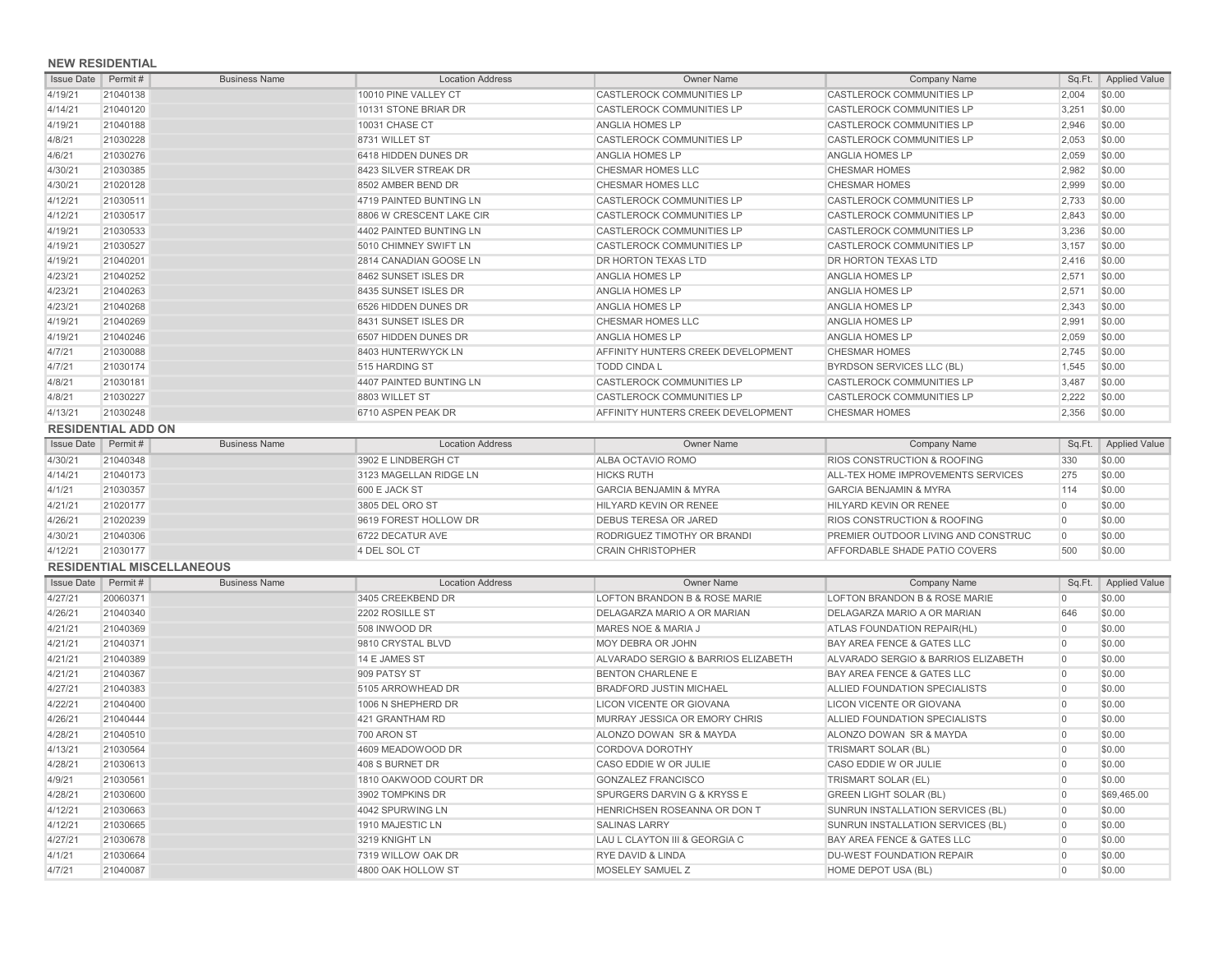## **NEW RESIDENTIAL**

| <b>Issue Date</b> | Permit #                  | <b>Business Name</b>             | <b>Location Address</b>  | <b>Owner Name</b>                   | <b>Company Name</b>                                    |                | Sq.Ft.   Applied Value |
|-------------------|---------------------------|----------------------------------|--------------------------|-------------------------------------|--------------------------------------------------------|----------------|------------------------|
| 4/19/21           | 21040138                  |                                  | 10010 PINE VALLEY CT     | <b>CASTLEROCK COMMUNITIES LP</b>    | <b>CASTLEROCK COMMUNITIES LP</b>                       | 2,004          | \$0.00                 |
| 4/14/21           | 21040120                  |                                  | 10131 STONE BRIAR DR     | <b>CASTLEROCK COMMUNITIES LP</b>    | CASTLEROCK COMMUNITIES LP                              | 3,251          | \$0.00                 |
| 4/19/21           | 21040188                  |                                  | <b>10031 CHASE CT</b>    | <b>ANGLIA HOMES LP</b>              | <b>CASTLEROCK COMMUNITIES LP</b>                       | 2,946          | \$0.00                 |
| 4/8/21            | 21030228                  |                                  | 8731 WILLET ST           | CASTLEROCK COMMUNITIES LP           | <b>CASTLEROCK COMMUNITIES LP</b>                       | 2,053          | \$0.00                 |
| 4/6/21            | 21030276                  |                                  | 6418 HIDDEN DUNES DR     | ANGLIA HOMES LP                     | ANGLIA HOMES LP                                        | 2,059          | \$0.00                 |
| 4/30/21           | 21030385                  |                                  | 8423 SILVER STREAK DR    | CHESMAR HOMES LLC                   | <b>CHESMAR HOMES</b>                                   | 2,982          | \$0.00                 |
| 4/30/21           | 21020128                  |                                  | 8502 AMBER BEND DR       | CHESMAR HOMES LLC                   | <b>CHESMAR HOMES</b>                                   | 2,999          | \$0.00                 |
| 4/12/21           | 21030511                  |                                  | 4719 PAINTED BUNTING LN  | CASTLEROCK COMMUNITIES LP           | CASTLEROCK COMMUNITIES LP                              | 2,733          | \$0.00                 |
| 4/12/21           | 21030517                  |                                  | 8806 W CRESCENT LAKE CIR | <b>CASTLEROCK COMMUNITIES LP</b>    | <b>CASTLEROCK COMMUNITIES LP</b>                       | 2.843          | \$0.00                 |
| 4/19/21           | 21030533                  |                                  | 4402 PAINTED BUNTING LN  | <b>CASTLEROCK COMMUNITIES LP</b>    | CASTLEROCK COMMUNITIES LP                              | 3,236          | \$0.00                 |
| 4/19/21           | 21030527                  |                                  | 5010 CHIMNEY SWIFT LN    | <b>CASTLEROCK COMMUNITIES LP</b>    | CASTLEROCK COMMUNITIES LP                              | 3,157          | \$0.00                 |
| 4/19/21           | 21040201                  |                                  | 2814 CANADIAN GOOSE LN   | DR HORTON TEXAS LTD                 | DR HORTON TEXAS LTD                                    | 2.416          | \$0.00                 |
| 4/23/21           | 21040252                  |                                  | 8462 SUNSET ISLES DR     | ANGLIA HOMES LP                     | ANGLIA HOMES LP                                        | 2,571          | \$0.00                 |
| 4/23/21           | 21040263                  |                                  | 8435 SUNSET ISLES DR     | ANGLIA HOMES LP                     | ANGLIA HOMES LP                                        | 2.571          | \$0.00                 |
| 4/23/21           | 21040268                  |                                  | 6526 HIDDEN DUNES DR     | ANGLIA HOMES LP                     | ANGLIA HOMES LP                                        | 2,343          | \$0.00                 |
| 4/19/21           | 21040269                  |                                  | 8431 SUNSET ISLES DR     | CHESMAR HOMES LLC                   | ANGLIA HOMES LP                                        | 2,991          | \$0.00                 |
| 4/19/21           | 21040246                  |                                  | 6507 HIDDEN DUNES DR     | ANGLIA HOMES LP                     | ANGLIA HOMES LP                                        | 2,059          | \$0.00                 |
| 4/7/21            | 21030088                  |                                  | 8403 HUNTERWYCK LN       | AFFINITY HUNTERS CREEK DEVELOPMENT  | <b>CHESMAR HOMES</b>                                   | 2,745          | \$0.00                 |
| 4/7/21            | 21030174                  |                                  | 515 HARDING ST           | <b>TODD CINDA L</b>                 |                                                        | 1,545          | \$0.00                 |
|                   |                           |                                  |                          | CASTLEROCK COMMUNITIES LP           | BYRDSON SERVICES LLC (BL)<br>CASTLEROCK COMMUNITIES LP | 3,487          | \$0.00                 |
| 4/8/21            | 21030181                  |                                  | 4407 PAINTED BUNTING LN  |                                     |                                                        |                |                        |
| 4/8/21            | 21030227                  |                                  | 8803 WILLET ST           | CASTLEROCK COMMUNITIES LP           | CASTLEROCK COMMUNITIES LP                              | 2,222          | \$0.00                 |
| 4/13/21           | 21030248                  |                                  | 6710 ASPEN PEAK DR       | AFFINITY HUNTERS CREEK DEVELOPMENT  | <b>CHESMAR HOMES</b>                                   | 2,356          | \$0.00                 |
|                   | <b>RESIDENTIAL ADD ON</b> |                                  |                          |                                     |                                                        |                |                        |
| <b>Issue Date</b> | Permit #                  | <b>Business Name</b>             | <b>Location Address</b>  | <b>Owner Name</b>                   | <b>Company Name</b>                                    | Sq.Ft.         | <b>Applied Value</b>   |
| 4/30/21           | 21040348                  |                                  | 3902 E LINDBERGH CT      | ALBA OCTAVIO ROMO                   | RIOS CONSTRUCTION & ROOFING                            | 330            | \$0.00                 |
| 4/14/21           | 21040173                  |                                  | 3123 MAGELLAN RIDGE LN   | <b>HICKS RUTH</b>                   | ALL-TEX HOME IMPROVEMENTS SERVICES                     | 275            | \$0.00                 |
| 4/1/21            | 21030357                  |                                  | 600 E JACK ST            | <b>GARCIA BENJAMIN &amp; MYRA</b>   | <b>GARCIA BENJAMIN &amp; MYRA</b>                      | 114            | \$0.00                 |
| 4/21/21           | 21020177                  |                                  | 3805 DEL ORO ST          | HILYARD KEVIN OR RENEE              | HILYARD KEVIN OR RENEE                                 | $\overline{0}$ | \$0.00                 |
| 4/26/21           | 21020239                  |                                  | 9619 FOREST HOLLOW DR    | <b>DEBUS TERESA OR JARED</b>        | RIOS CONSTRUCTION & ROOFING                            | $\overline{0}$ | \$0.00                 |
| 4/30/21           | 21040306                  |                                  | 6722 DECATUR AVE         | RODRIGUEZ TIMOTHY OR BRANDI         | PREMIER OUTDOOR LIVING AND CONSTRUC                    | $\Omega$       | \$0.00                 |
| 4/12/21           | 21030177                  |                                  | 4 DEL SOL CT             | <b>CRAIN CHRISTOPHER</b>            | AFFORDABLE SHADE PATIO COVERS                          | 500            | \$0.00                 |
|                   |                           | <b>RESIDENTIAL MISCELLANEOUS</b> |                          |                                     |                                                        |                |                        |
| <b>Issue Date</b> | Permit #                  | <b>Business Name</b>             | <b>Location Address</b>  | <b>Owner Name</b>                   | <b>Company Name</b>                                    |                | Sq.Ft.   Applied Value |
| 4/27/21           | 20060371                  |                                  | 3405 CREEKBEND DR        | LOFTON BRANDON B & ROSE MARIE       | LOFTON BRANDON B & ROSE MARIE                          | $\Omega$       | \$0.00                 |
| 4/26/21           | 21040340                  |                                  | 2202 ROSILLE ST          | DELAGARZA MARIO A OR MARIAN         | DELAGARZA MARIO A OR MARIAN                            | 646            | \$0.00                 |
| 4/21/21           | 21040369                  |                                  | 508 INWOOD DR            | MARES NOE & MARIA J                 | ATLAS FOUNDATION REPAIR(HL)                            | $\overline{0}$ | \$0.00                 |
| 4/21/21           | 21040371                  |                                  | 9810 CRYSTAL BLVD        | <b>MOY DEBRA OR JOHN</b>            | BAY AREA FENCE & GATES LLC                             | $\overline{0}$ | \$0.00                 |
| 4/21/21           | 21040389                  |                                  | 14 E JAMES ST            | ALVARADO SERGIO & BARRIOS ELIZABETH | ALVARADO SERGIO & BARRIOS ELIZABETH                    | $\overline{0}$ | \$0.00                 |
| 4/21/21           | 21040367                  |                                  | 909 PATSY ST             | <b>BENTON CHARLENE E</b>            | <b>BAY AREA FENCE &amp; GATES LLC</b>                  | $\overline{0}$ | \$0.00                 |
| 4/27/21           | 21040383                  |                                  | 5105 ARROWHEAD DR        | <b>BRADFORD JUSTIN MICHAEL</b>      | ALLIED FOUNDATION SPECIALISTS                          | $\overline{0}$ | \$0.00                 |
| 4/22/21           | 21040400                  |                                  | 1006 N SHEPHERD DR       | LICON VICENTE OR GIOVANA            | <b>LICON VICENTE OR GIOVANA</b>                        | $\Omega$       | \$0.00                 |
| 4/26/21           | 21040444                  |                                  | 421 GRANTHAM RD          | MURRAY JESSICA OR EMORY CHRIS       | ALLIED FOUNDATION SPECIALISTS                          | $\overline{0}$ | \$0.00                 |
| 4/28/21           | 21040510                  |                                  | 700 ARON ST              | ALONZO DOWAN SR & MAYDA             | ALONZO DOWAN SR & MAYDA                                | $\overline{0}$ | \$0.00                 |
| 4/13/21           | 21030564                  |                                  | 4609 MEADOWOOD DR        | CORDOVA DOROTHY                     | TRISMART SOLAR (BL)                                    | $\overline{0}$ | \$0.00                 |
| 4/28/21           | 21030613                  |                                  | 408 S BURNET DR          | CASO EDDIE W OR JULIE               | CASO EDDIE W OR JULIE                                  | $\circ$        | \$0.00                 |
| 4/9/21            | 21030561                  |                                  | 1810 OAKWOOD COURT DR    | <b>GONZALEZ FRANCISCO</b>           | TRISMART SOLAR (EL)                                    | $\Omega$       | \$0.00                 |
| 4/28/21           | 21030600                  |                                  | 3902 TOMPKINS DR         | SPURGERS DARVIN G & KRYSS E         | <b>GREEN LIGHT SOLAR (BL)</b>                          | $\overline{0}$ | \$69,465.00            |
| 4/12/21           | 21030663                  |                                  | 4042 SPURWING LN         | HENRICHSEN ROSEANNA OR DON T        | SUNRUN INSTALLATION SERVICES (BL)                      | $\overline{0}$ | \$0.00                 |
| 4/12/21           | 21030665                  |                                  | 1910 MAJESTIC LN         | <b>SALINAS LARRY</b>                | SUNRUN INSTALLATION SERVICES (BL)                      | $\overline{0}$ | \$0.00                 |
| 4/27/21           | 21030678                  |                                  | 3219 KNIGHT LN           | LAU L CLAYTON III & GEORGIA C       | BAY AREA FENCE & GATES LLC                             | $\overline{0}$ | \$0.00                 |
| 4/1/21            | 21030664                  |                                  | 7319 WILLOW OAK DR       | <b>RYE DAVID &amp; LINDA</b>        | <b>DU-WEST FOUNDATION REPAIR</b>                       | $\overline{0}$ | \$0.00                 |
| 4/7/21            | 21040087                  |                                  | 4800 OAK HOLLOW ST       | MOSELEY SAMUEL Z                    | HOME DEPOT USA (BL)                                    | $\Omega$       | \$0.00                 |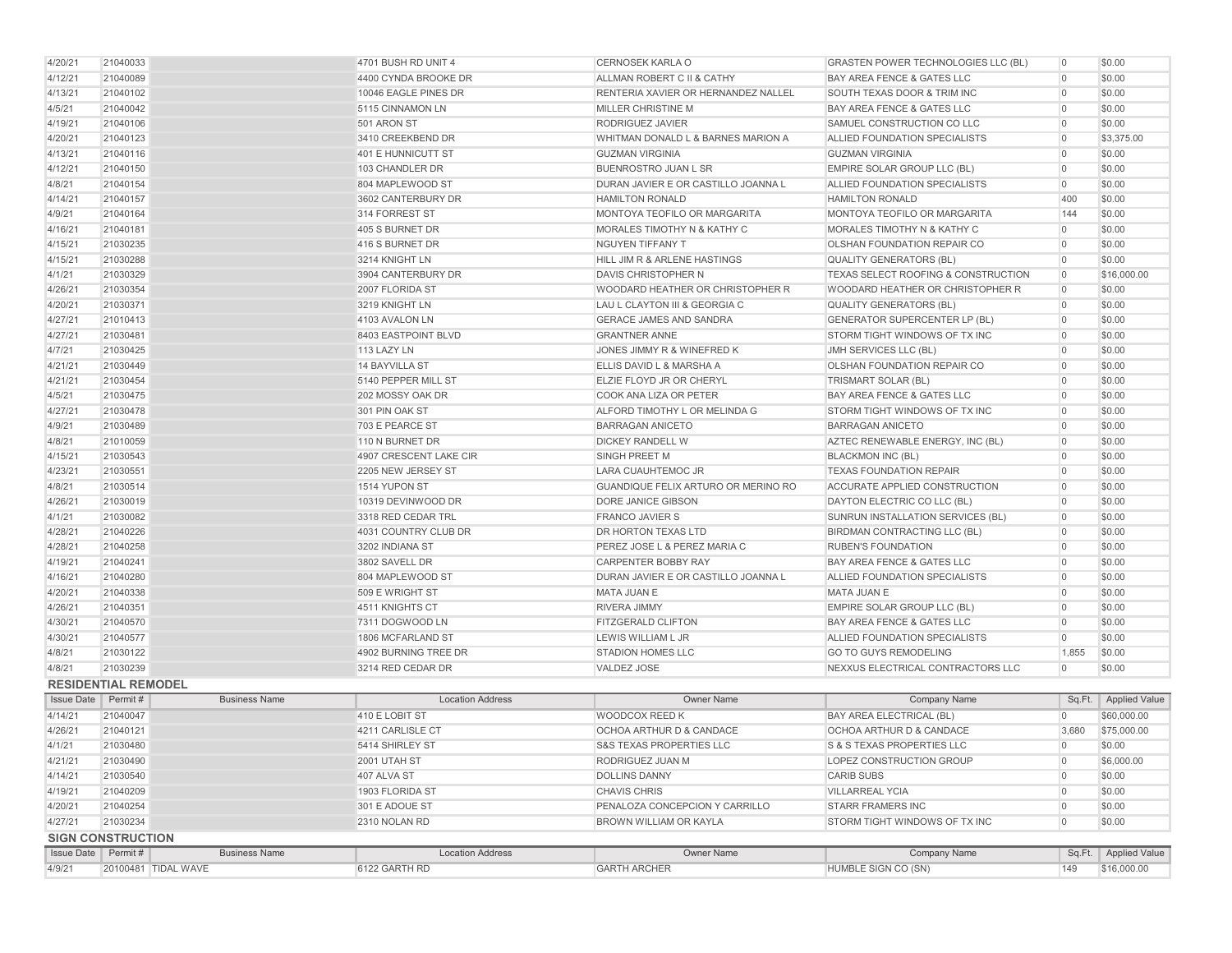| 4/20/21            | 21040033                   |                      | 4701 BUSH RD UNIT 4     | <b>CERNOSEK KARLA O</b>                    | <b>GRASTEN POWER TECHNOLOGIES LLC (BL)</b> | $\overline{0}$ | \$0.00                 |
|--------------------|----------------------------|----------------------|-------------------------|--------------------------------------------|--------------------------------------------|----------------|------------------------|
| 4/12/21            | 21040089                   |                      | 4400 CYNDA BROOKE DR    | ALLMAN ROBERT C II & CATHY                 | BAY AREA FENCE & GATES LLC                 | $\overline{0}$ | \$0.00                 |
| 4/13/21            | 21040102                   |                      | 10046 EAGLE PINES DR    | <b>RENTERIA XAVIER OR HERNANDEZ NALLEL</b> | SOUTH TEXAS DOOR & TRIM INC                | $\overline{0}$ | \$0.00                 |
| 4/5/21             | 21040042                   |                      | 5115 CINNAMON LN        | <b>MILLER CHRISTINE M</b>                  | BAY AREA FENCE & GATES LLC                 | $\overline{0}$ | \$0.00                 |
| 4/19/21            | 21040106                   |                      | 501 ARON ST             | <b>RODRIGUEZ JAVIER</b>                    | SAMUEL CONSTRUCTION CO LLC                 | $\overline{0}$ | \$0.00                 |
| 4/20/21            | 21040123                   |                      | 3410 CREEKBEND DR       | WHITMAN DONALD L & BARNES MARION A         | ALLIED FOUNDATION SPECIALISTS              | $\overline{0}$ | \$3,375.00             |
| 4/13/21            | 21040116                   |                      | 401 E HUNNICUTT ST      | <b>GUZMAN VIRGINIA</b>                     | <b>GUZMAN VIRGINIA</b>                     | $\overline{0}$ | \$0.00                 |
| 4/12/21            | 21040150                   |                      | 103 CHANDLER DR         | <b>BUENROSTRO JUAN L SR</b>                | EMPIRE SOLAR GROUP LLC (BL)                | $\overline{0}$ | \$0.00                 |
| 4/8/21             | 21040154                   |                      | 804 MAPLEWOOD ST        | DURAN JAVIER E OR CASTILLO JOANNA L        | ALLIED FOUNDATION SPECIALISTS              | $\overline{0}$ | \$0.00                 |
| 4/14/21            | 21040157                   |                      | 3602 CANTERBURY DR      | <b>HAMILTON RONALD</b>                     | <b>HAMILTON RONALD</b>                     | 400            | \$0.00                 |
| 4/9/21             | 21040164                   |                      | 314 FORREST ST          | MONTOYA TEOFILO OR MARGARITA               | MONTOYA TEOFILO OR MARGARITA               | 144            | \$0.00                 |
| 4/16/21            | 21040181                   |                      | 405 S BURNET DR         | <b>MORALES TIMOTHY N &amp; KATHY C</b>     | MORALES TIMOTHY N & KATHY C                | $\overline{0}$ | \$0.00                 |
| 4/15/21            | 21030235                   |                      | 416 S BURNET DR         | NGUYEN TIFFANY T                           | OLSHAN FOUNDATION REPAIR CO                | $\overline{0}$ | \$0.00                 |
| 4/15/21            | 21030288                   |                      | 3214 KNIGHT LN          | HILL JIM R & ARLENE HASTINGS               | <b>QUALITY GENERATORS (BL)</b>             | $\overline{0}$ | \$0.00                 |
| 4/1/21             | 21030329                   |                      | 3904 CANTERBURY DR      | DAVIS CHRISTOPHER N                        | TEXAS SELECT ROOFING & CONSTRUCTION        | $\overline{0}$ | \$16,000.00            |
| 4/26/21            | 21030354                   |                      | 2007 FLORIDA ST         | WOODARD HEATHER OR CHRISTOPHER R           | WOODARD HEATHER OR CHRISTOPHER R           | $\overline{0}$ | \$0.00                 |
| 4/20/21            | 21030371                   |                      | 3219 KNIGHT LN          | LAU L CLAYTON III & GEORGIA C              | <b>QUALITY GENERATORS (BL)</b>             | $\overline{0}$ | \$0.00                 |
| 4/27/21            | 21010413                   |                      | 4103 AVALON LN          | <b>GERACE JAMES AND SANDRA</b>             | <b>GENERATOR SUPERCENTER LP (BL)</b>       | $\overline{0}$ | \$0.00                 |
| 4/27/21            | 21030481                   |                      | 8403 EASTPOINT BLVD     | <b>GRANTNER ANNE</b>                       | STORM TIGHT WINDOWS OF TX INC              | $\overline{0}$ | \$0.00                 |
| 4/7/21             | 21030425                   |                      | 113 LAZY LN             | JONES JIMMY R & WINEFRED K                 | JMH SERVICES LLC (BL)                      | $\overline{0}$ | \$0.00                 |
| 4/21/21            | 21030449                   |                      | 14 BAYVILLA ST          | ELLIS DAVID L & MARSHA A                   | OLSHAN FOUNDATION REPAIR CO                | $\overline{0}$ | \$0.00                 |
| 4/21/21            | 21030454                   |                      | 5140 PEPPER MILL ST     | ELZIE FLOYD JR OR CHERYL                   | TRISMART SOLAR (BL)                        | $\overline{0}$ | \$0.00                 |
| 4/5/21             | 21030475                   |                      | 202 MOSSY OAK DR        | <b>COOK ANA LIZA OR PETER</b>              | BAY AREA FENCE & GATES LLC                 | $\overline{0}$ | \$0.00                 |
| 4/27/21            | 21030478                   |                      | 301 PIN OAK ST          | ALFORD TIMOTHY L OR MELINDA G              | STORM TIGHT WINDOWS OF TX INC              | $\overline{0}$ | \$0.00                 |
| 4/9/21             | 21030489                   |                      | 703 E PEARCE ST         | <b>BARRAGAN ANICETO</b>                    | <b>BARRAGAN ANICETO</b>                    | $\overline{0}$ | \$0.00                 |
| 4/8/21             | 21010059                   |                      | 110 N BURNET DR         | <b>DICKEY RANDELL W</b>                    | AZTEC RENEWABLE ENERGY, INC (BL)           | $\overline{0}$ | \$0.00                 |
| 4/15/21            | 21030543                   |                      | 4907 CRESCENT LAKE CIR  | <b>SINGH PREET M</b>                       | <b>BLACKMON INC (BL)</b>                   | $\overline{0}$ | \$0.00                 |
| 4/23/21            | 21030551                   |                      | 2205 NEW JERSEY ST      | LARA CUAUHTEMOC JR                         | <b>TEXAS FOUNDATION REPAIR</b>             | $\overline{0}$ | \$0.00                 |
| 4/8/21             | 21030514                   |                      | 1514 YUPON ST           | <b>GUANDIQUE FELIX ARTURO OR MERINO RO</b> | ACCURATE APPLIED CONSTRUCTION              | $\overline{0}$ | \$0.00                 |
| 4/26/21            | 21030019                   |                      | 10319 DEVINWOOD DR      | DORE JANICE GIBSON                         | DAYTON ELECTRIC CO LLC (BL)                | $\overline{0}$ | \$0.00                 |
| 4/1/21             | 21030082                   |                      | 3318 RED CEDAR TRL      | <b>FRANCO JAVIER S</b>                     | SUNRUN INSTALLATION SERVICES (BL)          | $\overline{0}$ | \$0.00                 |
| 4/28/21            | 21040226                   |                      | 4031 COUNTRY CLUB DR    | <b>DR HORTON TEXAS LTD</b>                 | BIRDMAN CONTRACTING LLC (BL)               | $\overline{0}$ | \$0.00                 |
| 4/28/21            | 21040258                   |                      | 3202 INDIANA ST         | PEREZ JOSE L & PEREZ MARIA C               | <b>RUBEN'S FOUNDATION</b>                  | $\overline{0}$ | \$0.00                 |
| 4/19/21            | 21040241                   |                      | 3802 SAVELL DR          | <b>CARPENTER BOBBY RAY</b>                 | BAY AREA FENCE & GATES LLC                 | $\overline{0}$ | \$0.00                 |
| 4/16/21            | 21040280                   |                      | 804 MAPLEWOOD ST        | DURAN JAVIER E OR CASTILLO JOANNA L        | ALLIED FOUNDATION SPECIALISTS              | $\overline{0}$ | \$0.00                 |
| 4/20/21            | 21040338                   |                      | 509 E WRIGHT ST         | MATA JUAN E                                | MATA JUAN E                                | $\overline{0}$ | \$0.00                 |
| 4/26/21            | 21040351                   |                      | 4511 KNIGHTS CT         | <b>RIVERA JIMMY</b>                        | EMPIRE SOLAR GROUP LLC (BL)                | $\overline{0}$ | \$0.00                 |
| 4/30/21            | 21040570                   |                      | 7311 DOGWOOD LN         | <b>FITZGERALD CLIFTON</b>                  | BAY AREA FENCE & GATES LLC                 | $\overline{0}$ | \$0.00                 |
| 4/30/21            | 21040577                   |                      | 1806 MCFARLAND ST       | LEWIS WILLIAM L JR                         | ALLIED FOUNDATION SPECIALISTS              | $\overline{0}$ | \$0.00                 |
| 4/8/21             | 21030122                   |                      | 4902 BURNING TREE DR    | <b>STADION HOMES LLC</b>                   | <b>GO TO GUYS REMODELING</b>               | 1,855          | \$0.00                 |
| 4/8/21             | 21030239                   |                      | 3214 RED CEDAR DR       | VALDEZ JOSE                                | NEXXUS ELECTRICAL CONTRACTORS LLC          | $\overline{0}$ | \$0.00                 |
|                    | <b>RESIDENTIAL REMODEL</b> |                      |                         |                                            |                                            |                |                        |
| <b>Issue Date</b>  | $\vert$ Permit #           | <b>Business Name</b> | <b>Location Address</b> | <b>Owner Name</b>                          | <b>Company Name</b>                        |                | Sq.Ft.   Applied Value |
| 4/14/21            | 21040047                   |                      | 410 E LOBIT ST          | WOODCOX REED K                             | BAY AREA ELECTRICAL (BL)                   | $\overline{0}$ | \$60,000.00            |
| 4/26/21            | 21040121                   |                      | 4211 CARLISLE CT        | OCHOA ARTHUR D & CANDACE                   | OCHOA ARTHUR D & CANDACE                   | 3,680          | \$75,000.00            |
| 4/1/21             | 21030480                   |                      | 5414 SHIRLEY ST         | <b>S&amp;S TEXAS PROPERTIES LLC</b>        | <b>S &amp; S TEXAS PROPERTIES LLC</b>      | $\overline{0}$ | \$0.00                 |
| 4/21/21            | 21030490                   |                      | 2001 UTAH ST            | RODRIGUEZ JUAN M                           | LOPEZ CONSTRUCTION GROUP                   | $\overline{0}$ | \$6,000.00             |
| 4/14/21            | 21030540                   |                      | 407 ALVA ST             | <b>DOLLINS DANNY</b>                       | <b>CARIB SUBS</b>                          | $\overline{0}$ | \$0.00                 |
| 4/19/21            | 21040209                   |                      | 1903 FLORIDA ST         | <b>CHAVIS CHRIS</b>                        | <b>VILLARREAL YCIA</b>                     | $\overline{0}$ | \$0.00                 |
| 4/20/21            | 21040254                   |                      | 301 E ADOUE ST          | PENALOZA CONCEPCION Y CARRILLO             | <b>STARR FRAMERS INC</b>                   | $\overline{0}$ | \$0.00                 |
| 4/27/21            | 21030234                   |                      | 2310 NOLAN RD           | BROWN WILLIAM OR KAYLA                     | STORM TIGHT WINDOWS OF TX INC              | $\overline{0}$ | \$0.00                 |
|                    | <b>SIGN CONSTRUCTION</b>   |                      |                         |                                            |                                            |                |                        |
| Issue Date Permit# |                            | <b>Business Name</b> | <b>Location Address</b> | Owner Name                                 | Company Name                               | Sq.Ft.         | Applied Value          |
| 4/9/21             | 20100481 TIDAL WAVE        |                      | 6122 GARTH RD           | <b>GARTH ARCHER</b>                        | HUMBLE SIGN CO (SN)                        | 149            | \$16,000.00            |